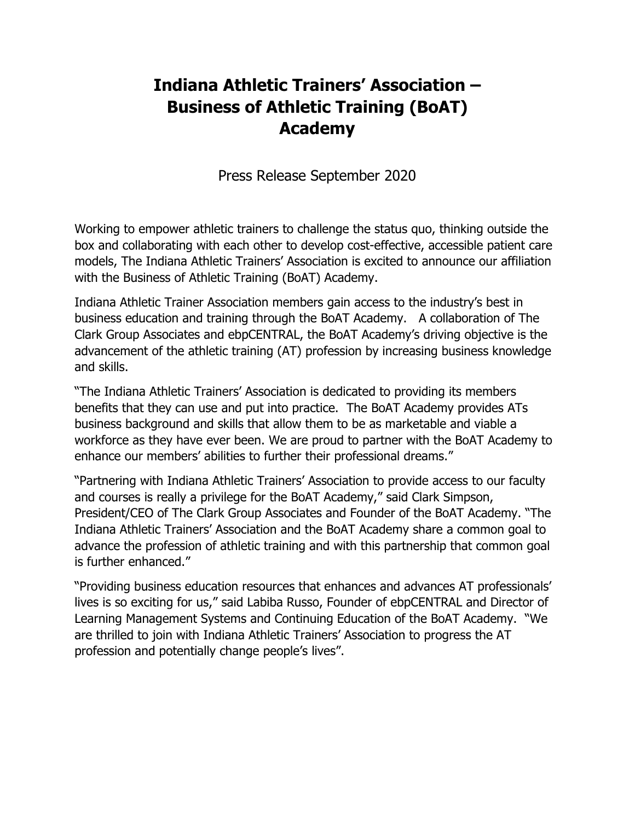# **Indiana Athletic Trainers' Association – Business of Athletic Training (BoAT) Academy**

Press Release September 2020

Working to empower athletic trainers to challenge the status quo, thinking outside the box and collaborating with each other to develop cost-effective, accessible patient care models, The Indiana Athletic Trainers' Association is excited to announce our affiliation with the Business of Athletic Training (BoAT) Academy.

Indiana Athletic Trainer Association members gain access to the industry's best in business education and training through the BoAT Academy. A collaboration of The Clark Group Associates and ebpCENTRAL, the BoAT Academy's driving objective is the advancement of the athletic training (AT) profession by increasing business knowledge and skills.

"The Indiana Athletic Trainers' Association is dedicated to providing its members benefits that they can use and put into practice. The BoAT Academy provides ATs business background and skills that allow them to be as marketable and viable a workforce as they have ever been. We are proud to partner with the BoAT Academy to enhance our members' abilities to further their professional dreams."

"Partnering with Indiana Athletic Trainers' Association to provide access to our faculty and courses is really a privilege for the BoAT Academy," said Clark Simpson, President/CEO of The Clark Group Associates and Founder of the BoAT Academy. "The Indiana Athletic Trainers' Association and the BoAT Academy share a common goal to advance the profession of athletic training and with this partnership that common goal is further enhanced."

"Providing business education resources that enhances and advances AT professionals' lives is so exciting for us," said Labiba Russo, Founder of ebpCENTRAL and Director of Learning Management Systems and Continuing Education of the BoAT Academy. "We are thrilled to join with Indiana Athletic Trainers' Association to progress the AT profession and potentially change people's lives".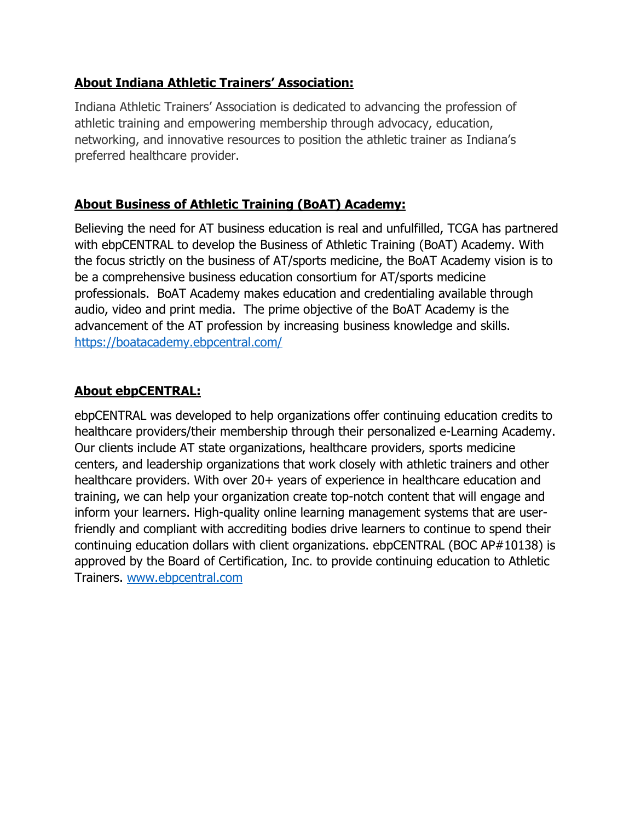#### **About Indiana Athletic Trainers' Association:**

Indiana Athletic Trainers' Association is dedicated to advancing the profession of athletic training and empowering membership through advocacy, education, networking, and innovative resources to position the athletic trainer as Indiana's preferred healthcare provider.

# **About Business of Athletic Training (BoAT) Academy:**

Believing the need for AT business education is real and unfulfilled, TCGA has partnered with ebpCENTRAL to develop the Business of Athletic Training (BoAT) Academy. With the focus strictly on the business of AT/sports medicine, the BoAT Academy vision is to be a comprehensive business education consortium for AT/sports medicine professionals. BoAT Academy makes education and credentialing available through audio, video and print media. The prime objective of the BoAT Academy is the advancement of the AT profession by increasing business knowledge and skills. https://boatacademy.ebpcentral.com/

## **About ebpCENTRAL:**

ebpCENTRAL was developed to help organizations offer continuing education credits to healthcare providers/their membership through their personalized e-Learning Academy. Our clients include AT state organizations, healthcare providers, sports medicine centers, and leadership organizations that work closely with athletic trainers and other healthcare providers. With over 20+ years of experience in healthcare education and training, we can help your organization create top-notch content that will engage and inform your learners. High-quality online learning management systems that are userfriendly and compliant with accrediting bodies drive learners to continue to spend their continuing education dollars with client organizations. ebpCENTRAL (BOC AP#10138) is approved by the Board of Certification, Inc. to provide continuing education to Athletic Trainers. www.ebpcentral.com